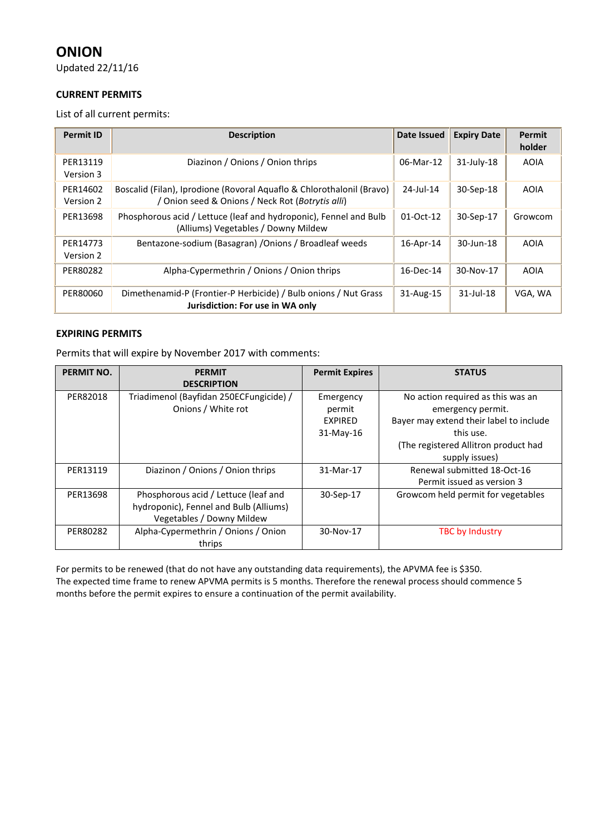# **ONION**

Updated 22/11/16

### **CURRENT PERMITS**

List of all current permits:

| <b>Permit ID</b>      | <b>Description</b>                                                                                                        | <b>Date Issued</b> | <b>Expiry Date</b> | Permit<br>holder |
|-----------------------|---------------------------------------------------------------------------------------------------------------------------|--------------------|--------------------|------------------|
| PER13119<br>Version 3 | Diazinon / Onions / Onion thrips                                                                                          | 06-Mar-12          | $31$ -July-18      | <b>AOIA</b>      |
| PER14602<br>Version 2 | Boscalid (Filan), Iprodione (Rovoral Aquaflo & Chlorothalonil (Bravo)<br>/ Onion seed & Onions / Neck Rot (Botrytis alli) | $24$ -Jul-14       | 30-Sep-18          | <b>AOIA</b>      |
| PER13698              | Phosphorous acid / Lettuce (leaf and hydroponic), Fennel and Bulb<br>(Alliums) Vegetables / Downy Mildew                  | 01-Oct-12          | 30-Sep-17          | Growcom          |
| PER14773<br>Version 2 | Bentazone-sodium (Basagran) / Onions / Broadleaf weeds                                                                    | 16-Apr-14          | 30-Jun-18          | <b>AOIA</b>      |
| PER80282              | Alpha-Cypermethrin / Onions / Onion thrips                                                                                | 16-Dec-14          | 30-Nov-17          | AOIA             |
| PER80060              | Dimethenamid-P (Frontier-P Herbicide) / Bulb onions / Nut Grass<br>Jurisdiction: For use in WA only                       | 31-Aug-15          | $31$ -Jul-18       | VGA, WA          |

### **EXPIRING PERMITS**

Permits that will expire by November 2017 with comments:

| <b>PERMIT NO.</b> | <b>PERMIT</b>                           | <b>Permit Expires</b> | <b>STATUS</b>                           |
|-------------------|-----------------------------------------|-----------------------|-----------------------------------------|
|                   | <b>DESCRIPTION</b>                      |                       |                                         |
| PER82018          | Triadimenol (Bayfidan 250ECFungicide) / | Emergency             | No action required as this was an       |
|                   | Onions / White rot                      | permit                | emergency permit.                       |
|                   |                                         | <b>EXPIRED</b>        | Bayer may extend their label to include |
|                   |                                         | $31-May-16$           | this use.                               |
|                   |                                         |                       | (The registered Allitron product had    |
|                   |                                         |                       | supply issues)                          |
| PER13119          | Diazinon / Onions / Onion thrips        | 31-Mar-17             | Renewal submitted 18-Oct-16             |
|                   |                                         |                       | Permit issued as version 3              |
| PER13698          | Phosphorous acid / Lettuce (leaf and    | 30-Sep-17             | Growcom held permit for vegetables      |
|                   | hydroponic), Fennel and Bulb (Alliums)  |                       |                                         |
|                   | Vegetables / Downy Mildew               |                       |                                         |
| PER80282          | Alpha-Cypermethrin / Onions / Onion     | 30-Nov-17             | <b>TBC by Industry</b>                  |
|                   | thrips                                  |                       |                                         |

For permits to be renewed (that do not have any outstanding data requirements), the APVMA fee is \$350. The expected time frame to renew APVMA permits is 5 months. Therefore the renewal process should commence 5 months before the permit expires to ensure a continuation of the permit availability.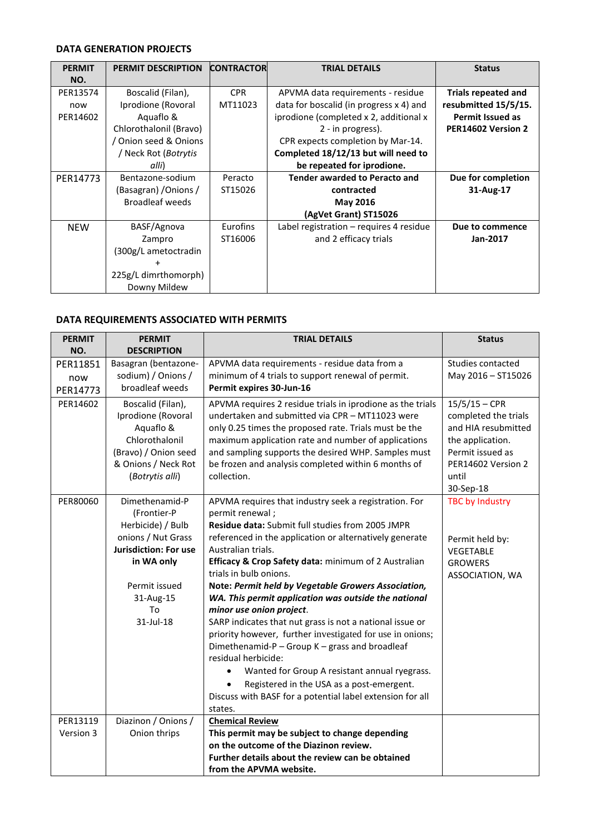## **DATA GENERATION PROJECTS**

| <b>PERMIT</b> | <b>PERMIT DESCRIPTION</b>    | <b>CONTRACTOR</b> | <b>TRIAL DETAILS</b>                      | <b>Status</b>              |
|---------------|------------------------------|-------------------|-------------------------------------------|----------------------------|
| NO.           |                              |                   |                                           |                            |
| PER13574      | Boscalid (Filan),            | <b>CPR</b>        | APVMA data requirements - residue         | <b>Trials repeated and</b> |
| now           | Iprodione (Rovoral           | MT11023           | data for boscalid (in progress x 4) and   | resubmitted 15/5/15.       |
| PER14602      | Aquaflo &                    |                   | iprodione (completed x 2, additional x    | <b>Permit Issued as</b>    |
|               | Chlorothalonil (Bravo)       |                   | 2 - in progress).                         | PER14602 Version 2         |
|               | / Onion seed & Onions        |                   | CPR expects completion by Mar-14.         |                            |
|               | / Neck Rot ( <i>Botrytis</i> |                   | Completed 18/12/13 but will need to       |                            |
|               | alli)                        |                   | be repeated for iprodione.                |                            |
| PER14773      | Bentazone-sodium             | Peracto           | <b>Tender awarded to Peracto and</b>      | Due for completion         |
|               | (Basagran) / Onions /        | ST15026           | contracted                                | 31-Aug-17                  |
|               | <b>Broadleaf weeds</b>       |                   | <b>May 2016</b>                           |                            |
|               |                              |                   | (AgVet Grant) ST15026                     |                            |
| <b>NEW</b>    | BASF/Agnova                  | Eurofins          | Label registration $-$ requires 4 residue | Due to commence            |
|               | Zampro                       | ST16006           | and 2 efficacy trials                     | Jan-2017                   |
|               | (300g/L ametoctradin         |                   |                                           |                            |
|               | $\ddot{}$                    |                   |                                           |                            |
|               | 225g/L dimrthomorph)         |                   |                                           |                            |
|               | Downy Mildew                 |                   |                                           |                            |

## **DATA REQUIREMENTS ASSOCIATED WITH PERMITS**

| <b>PERMIT</b> | <b>PERMIT</b>                                        | <b>TRIAL DETAILS</b>                                                                                                                                                    | <b>Status</b>                                                  |
|---------------|------------------------------------------------------|-------------------------------------------------------------------------------------------------------------------------------------------------------------------------|----------------------------------------------------------------|
| NO.           | <b>DESCRIPTION</b>                                   |                                                                                                                                                                         |                                                                |
| PER11851      | Basagran (bentazone-                                 | APVMA data requirements - residue data from a                                                                                                                           | Studies contacted                                              |
| now           | sodium) / Onions /                                   | minimum of 4 trials to support renewal of permit.                                                                                                                       | May 2016 - ST15026                                             |
| PER14773      | broadleaf weeds                                      | Permit expires 30-Jun-16                                                                                                                                                |                                                                |
| PER14602      | Boscalid (Filan),<br>Iprodione (Rovoral<br>Aquaflo & | APVMA requires 2 residue trials in iprodione as the trials<br>undertaken and submitted via CPR - MT11023 were<br>only 0.25 times the proposed rate. Trials must be the  | $15/5/15 - CPR$<br>completed the trials<br>and HIA resubmitted |
|               | Chlorothalonil                                       | maximum application rate and number of applications                                                                                                                     | the application.                                               |
|               | (Bravo) / Onion seed                                 | and sampling supports the desired WHP. Samples must                                                                                                                     | Permit issued as                                               |
|               | & Onions / Neck Rot                                  | be frozen and analysis completed within 6 months of                                                                                                                     | PER14602 Version 2                                             |
|               | (Botrytis alli)                                      | collection.                                                                                                                                                             | until                                                          |
|               | Dimethenamid-P                                       |                                                                                                                                                                         | 30-Sep-18                                                      |
| PER80060      | (Frontier-P                                          | APVMA requires that industry seek a registration. For<br>permit renewal;                                                                                                | <b>TBC by Industry</b>                                         |
|               | Herbicide) / Bulb                                    | Residue data: Submit full studies from 2005 JMPR                                                                                                                        |                                                                |
|               | onions / Nut Grass                                   | referenced in the application or alternatively generate                                                                                                                 | Permit held by:                                                |
|               | <b>Jurisdiction: For use</b>                         | Australian trials.                                                                                                                                                      | <b>VEGETABLE</b>                                               |
|               | in WA only                                           | Efficacy & Crop Safety data: minimum of 2 Australian                                                                                                                    | <b>GROWERS</b>                                                 |
|               |                                                      | trials in bulb onions.                                                                                                                                                  | ASSOCIATION, WA                                                |
|               | Permit issued                                        | Note: Permit held by Vegetable Growers Association,                                                                                                                     |                                                                |
|               | 31-Aug-15                                            | WA. This permit application was outside the national                                                                                                                    |                                                                |
|               | To                                                   | minor use onion project.                                                                                                                                                |                                                                |
|               | 31-Jul-18                                            | SARP indicates that nut grass is not a national issue or<br>priority however, further investigated for use in onions;<br>Dimethenamid-P - Group K - grass and broadleaf |                                                                |
|               |                                                      | residual herbicide:                                                                                                                                                     |                                                                |
|               |                                                      | Wanted for Group A resistant annual ryegrass.                                                                                                                           |                                                                |
|               |                                                      | Registered in the USA as a post-emergent.                                                                                                                               |                                                                |
|               |                                                      | Discuss with BASF for a potential label extension for all                                                                                                               |                                                                |
|               |                                                      | states.                                                                                                                                                                 |                                                                |
| PER13119      | Diazinon / Onions /                                  | <b>Chemical Review</b>                                                                                                                                                  |                                                                |
| Version 3     | Onion thrips                                         | This permit may be subject to change depending                                                                                                                          |                                                                |
|               |                                                      | on the outcome of the Diazinon review.                                                                                                                                  |                                                                |
|               |                                                      | Further details about the review can be obtained                                                                                                                        |                                                                |
|               |                                                      | from the APVMA website.                                                                                                                                                 |                                                                |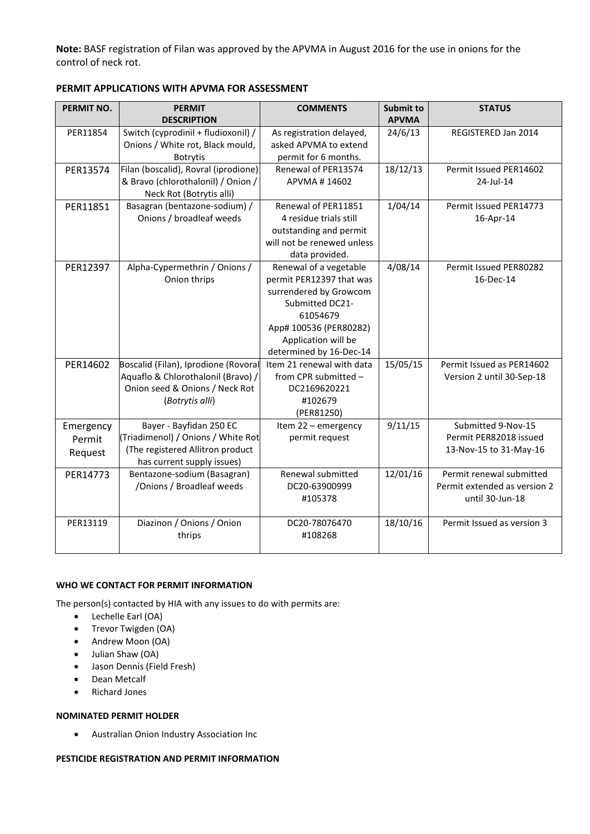**Note:** BASF registration of Filan was approved by the APVMA in August 2016 for the use in onions for the control of neck rot.

| PERMIT NO. | <b>PERMIT</b>                        | <b>COMMENTS</b>            | <b>Submit to</b> | <b>STATUS</b>                |
|------------|--------------------------------------|----------------------------|------------------|------------------------------|
|            | <b>DESCRIPTION</b>                   |                            | <b>APVMA</b>     |                              |
| PER11854   | Switch (cyprodinil + fludioxonil) /  | As registration delayed,   | 24/6/13          | REGISTERED Jan 2014          |
|            | Onions / White rot, Black mould,     | asked APVMA to extend      |                  |                              |
|            | <b>Botrytis</b>                      | permit for 6 months.       |                  |                              |
| PER13574   | Filan (boscalid), Rovral (iprodione) | Renewal of PER13574        | 18/12/13         | Permit Issued PER14602       |
|            | & Bravo (chlorothalonil) / Onion /   | APVMA#14602                |                  | 24-Jul-14                    |
|            | Neck Rot (Botrytis alli)             |                            |                  |                              |
| PER11851   | Basagran (bentazone-sodium) /        | Renewal of PER11851        | 1/04/14          | Permit Issued PER14773       |
|            | Onions / broadleaf weeds             | 4 residue trials still     |                  | 16-Apr-14                    |
|            |                                      | outstanding and permit     |                  |                              |
|            |                                      | will not be renewed unless |                  |                              |
|            |                                      | data provided.             |                  |                              |
| PER12397   | Alpha-Cypermethrin / Onions /        | Renewal of a vegetable     | 4/08/14          | Permit Issued PER80282       |
|            | Onion thrips                         | permit PER12397 that was   |                  | 16-Dec-14                    |
|            |                                      | surrendered by Growcom     |                  |                              |
|            |                                      | Submitted DC21-            |                  |                              |
|            |                                      | 61054679                   |                  |                              |
|            |                                      | App# 100536 (PER80282)     |                  |                              |
|            |                                      | Application will be        |                  |                              |
|            |                                      | determined by 16-Dec-14    |                  |                              |
| PER14602   | Boscalid (Filan), Iprodione (Rovoral | Item 21 renewal with data  | 15/05/15         | Permit Issued as PER14602    |
|            | Aquaflo & Chlorothalonil (Bravo) /   | from CPR submitted -       |                  | Version 2 until 30-Sep-18    |
|            | Onion seed & Onions / Neck Rot       | DC2169620221               |                  |                              |
|            | (Botrytis alli)                      | #102679                    |                  |                              |
|            |                                      | (PER81250)                 |                  |                              |
| Emergency  | Bayer - Bayfidan 250 EC              | Item 22 - emergency        | 9/11/15          | Submitted 9-Nov-15           |
| Permit     | (Triadimenol) / Onions / White Rot   | permit request             |                  | Permit PER82018 issued       |
| Request    | (The registered Allitron product     |                            |                  | 13-Nov-15 to 31-May-16       |
|            | has current supply issues)           |                            |                  |                              |
| PER14773   | Bentazone-sodium (Basagran)          | Renewal submitted          | 12/01/16         | Permit renewal submitted     |
|            | /Onions / Broadleaf weeds            | DC20-63900999              |                  | Permit extended as version 2 |
|            |                                      | #105378                    |                  | until 30-Jun-18              |
|            |                                      |                            |                  |                              |
| PER13119   | Diazinon / Onions / Onion            | DC20-78076470              | 18/10/16         | Permit Issued as version 3   |
|            | thrips                               | #108268                    |                  |                              |
|            |                                      |                            |                  |                              |

**PERMIT APPLICATIONS WITH APVMA FOR ASSESSMENT**

#### **WHO WE CONTACT FOR PERMIT INFORMATION**

The person(s) contacted by HIA with any issues to do with permits are:

- Lechelle Earl (OA)
- Trevor Twigden (OA)
- Andrew Moon (OA)
- Julian Shaw (OA)
- Jason Dennis (Field Fresh)
- Dean Metcalf
- Richard Jones

#### **NOMINATED PERMIT HOLDER**

Australian Onion Industry Association Inc

#### **PESTICIDE REGISTRATION AND PERMIT INFORMATION**